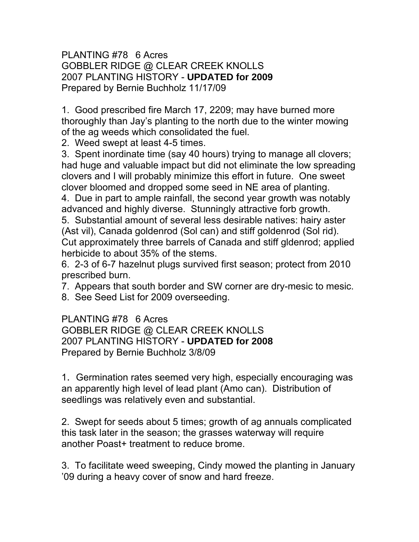### PLANTING #78 6 Acres GOBBLER RIDGE @ CLEAR CREEK KNOLLS 2007 PLANTING HISTORY - **UPDATED for 2009** Prepared by Bernie Buchholz 11/17/09

1. Good prescribed fire March 17, 2209; may have burned more thoroughly than Jay's planting to the north due to the winter mowing of the ag weeds which consolidated the fuel.

2. Weed swept at least 4-5 times.

3. Spent inordinate time (say 40 hours) trying to manage all clovers; had huge and valuable impact but did not eliminate the low spreading clovers and I will probably minimize this effort in future. One sweet clover bloomed and dropped some seed in NE area of planting.

4. Due in part to ample rainfall, the second year growth was notably advanced and highly diverse. Stunningly attractive forb growth.

5. Substantial amount of several less desirable natives: hairy aster (Ast vil), Canada goldenrod (Sol can) and stiff goldenrod (Sol rid). Cut approximately three barrels of Canada and stiff gldenrod; applied herbicide to about 35% of the stems.

6. 2-3 of 6-7 hazelnut plugs survived first season; protect from 2010 prescribed burn.

7. Appears that south border and SW corner are dry-mesic to mesic.

8. See Seed List for 2009 overseeding.

# PLANTING #78 6 Acres

GOBBLER RIDGE @ CLEAR CREEK KNOLLS 2007 PLANTING HISTORY - **UPDATED for 2008** Prepared by Bernie Buchholz 3/8/09

1. Germination rates seemed very high, especially encouraging was an apparently high level of lead plant (Amo can). Distribution of seedlings was relatively even and substantial.

2. Swept for seeds about 5 times; growth of ag annuals complicated this task later in the season; the grasses waterway will require another Poast+ treatment to reduce brome.

3. To facilitate weed sweeping, Cindy mowed the planting in January '09 during a heavy cover of snow and hard freeze.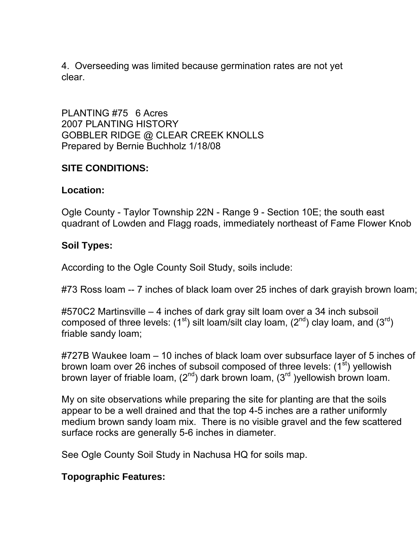4. Overseeding was limited because germination rates are not yet clear.

PLANTING #75 6 Acres 2007 PLANTING HISTORY GOBBLER RIDGE @ CLEAR CREEK KNOLLS Prepared by Bernie Buchholz 1/18/08

### **SITE CONDITIONS:**

### **Location:**

Ogle County - Taylor Township 22N - Range 9 - Section 10E; the south east quadrant of Lowden and Flagg roads, immediately northeast of Fame Flower Knob

## **Soil Types:**

According to the Ogle County Soil Study, soils include:

#73 Ross loam -- 7 inches of black loam over 25 inches of dark grayish brown loam;

#570C2 Martinsville – 4 inches of dark gray silt loam over a 34 inch subsoil composed of three levels:  $(1^{st})$  silt loam/silt clay loam,  $(2^{nd})$  clay loam, and  $(3^{rd})$ friable sandy loam;

#727B Waukee loam – 10 inches of black loam over subsurface layer of 5 inches of brown loam over 26 inches of subsoil composed of three levels: (1<sup>st</sup>) yellowish brown layer of friable loam,  $(2^{nd})$  dark brown loam,  $(3^{rd})$ yellowish brown loam.

My on site observations while preparing the site for planting are that the soils appear to be a well drained and that the top 4-5 inches are a rather uniformly medium brown sandy loam mix. There is no visible gravel and the few scattered surface rocks are generally 5-6 inches in diameter.

See Ogle County Soil Study in Nachusa HQ for soils map.

## **Topographic Features:**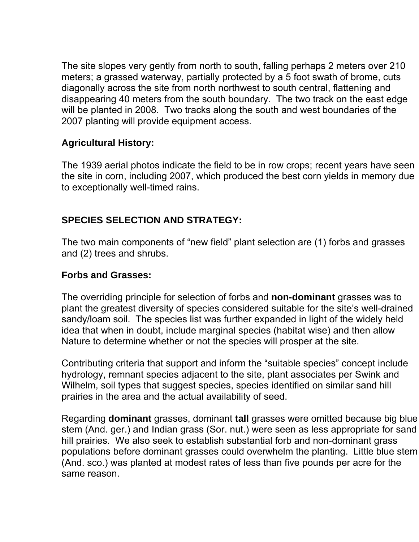The site slopes very gently from north to south, falling perhaps 2 meters over 210 meters; a grassed waterway, partially protected by a 5 foot swath of brome, cuts diagonally across the site from north northwest to south central, flattening and disappearing 40 meters from the south boundary. The two track on the east edge will be planted in 2008. Two tracks along the south and west boundaries of the 2007 planting will provide equipment access.

### **Agricultural History:**

The 1939 aerial photos indicate the field to be in row crops; recent years have seen the site in corn, including 2007, which produced the best corn yields in memory due to exceptionally well-timed rains.

## **SPECIES SELECTION AND STRATEGY:**

The two main components of "new field" plant selection are (1) forbs and grasses and (2) trees and shrubs.

### **Forbs and Grasses:**

The overriding principle for selection of forbs and **non-dominant** grasses was to plant the greatest diversity of species considered suitable for the site's well-drained sandy/loam soil. The species list was further expanded in light of the widely held idea that when in doubt, include marginal species (habitat wise) and then allow Nature to determine whether or not the species will prosper at the site.

Contributing criteria that support and inform the "suitable species" concept include hydrology, remnant species adjacent to the site, plant associates per Swink and Wilhelm, soil types that suggest species, species identified on similar sand hill prairies in the area and the actual availability of seed.

Regarding **dominant** grasses, dominant **tall** grasses were omitted because big blue stem (And. ger.) and Indian grass (Sor. nut.) were seen as less appropriate for sand hill prairies. We also seek to establish substantial forb and non-dominant grass populations before dominant grasses could overwhelm the planting. Little blue stem (And. sco.) was planted at modest rates of less than five pounds per acre for the same reason.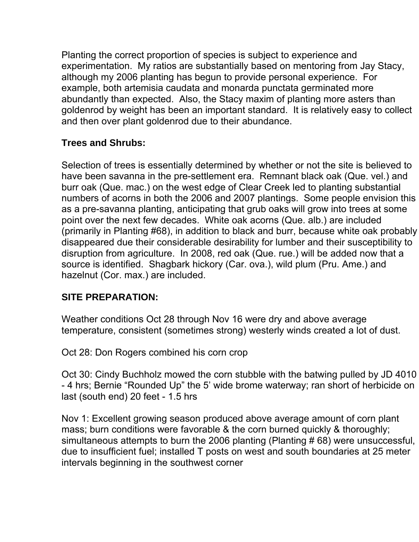Planting the correct proportion of species is subject to experience and experimentation. My ratios are substantially based on mentoring from Jay Stacy, although my 2006 planting has begun to provide personal experience. For example, both artemisia caudata and monarda punctata germinated more abundantly than expected. Also, the Stacy maxim of planting more asters than goldenrod by weight has been an important standard. It is relatively easy to collect and then over plant goldenrod due to their abundance.

## **Trees and Shrubs:**

Selection of trees is essentially determined by whether or not the site is believed to have been savanna in the pre-settlement era. Remnant black oak (Que. vel.) and burr oak (Que. mac.) on the west edge of Clear Creek led to planting substantial numbers of acorns in both the 2006 and 2007 plantings. Some people envision this as a pre-savanna planting, anticipating that grub oaks will grow into trees at some point over the next few decades. White oak acorns (Que. alb.) are included (primarily in Planting #68), in addition to black and burr, because white oak probably disappeared due their considerable desirability for lumber and their susceptibility to disruption from agriculture. In 2008, red oak (Que. rue.) will be added now that a source is identified. Shagbark hickory (Car. ova.), wild plum (Pru. Ame.) and hazelnut (Cor. max.) are included.

## **SITE PREPARATION:**

Weather conditions Oct 28 through Nov 16 were dry and above average temperature, consistent (sometimes strong) westerly winds created a lot of dust.

Oct 28: Don Rogers combined his corn crop

Oct 30: Cindy Buchholz mowed the corn stubble with the batwing pulled by JD 4010 - 4 hrs; Bernie "Rounded Up" the 5' wide brome waterway; ran short of herbicide on last (south end) 20 feet - 1.5 hrs

Nov 1: Excellent growing season produced above average amount of corn plant mass; burn conditions were favorable & the corn burned quickly & thoroughly; simultaneous attempts to burn the 2006 planting (Planting # 68) were unsuccessful, due to insufficient fuel; installed T posts on west and south boundaries at 25 meter intervals beginning in the southwest corner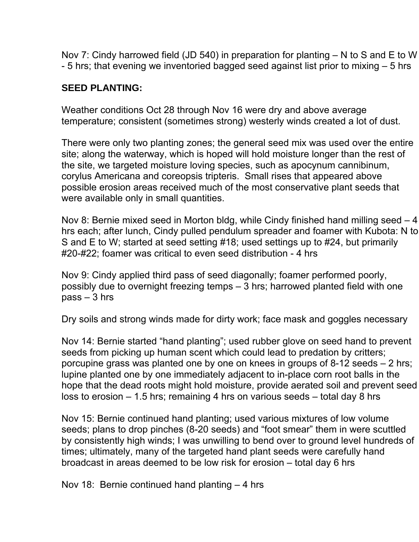Nov 7: Cindy harrowed field (JD 540) in preparation for planting – N to S and E to W - 5 hrs; that evening we inventoried bagged seed against list prior to mixing – 5 hrs

## **SEED PLANTING:**

Weather conditions Oct 28 through Nov 16 were dry and above average temperature; consistent (sometimes strong) westerly winds created a lot of dust.

There were only two planting zones; the general seed mix was used over the entire site; along the waterway, which is hoped will hold moisture longer than the rest of the site, we targeted moisture loving species, such as apocynum cannibinum, corylus Americana and coreopsis tripteris. Small rises that appeared above possible erosion areas received much of the most conservative plant seeds that were available only in small quantities.

Nov 8: Bernie mixed seed in Morton bldg, while Cindy finished hand milling seed – 4 hrs each; after lunch, Cindy pulled pendulum spreader and foamer with Kubota: N to S and E to W; started at seed setting #18; used settings up to #24, but primarily #20-#22; foamer was critical to even seed distribution - 4 hrs

Nov 9: Cindy applied third pass of seed diagonally; foamer performed poorly, possibly due to overnight freezing temps – 3 hrs; harrowed planted field with one pass – 3 hrs

Dry soils and strong winds made for dirty work; face mask and goggles necessary

Nov 14: Bernie started "hand planting"; used rubber glove on seed hand to prevent seeds from picking up human scent which could lead to predation by critters; porcupine grass was planted one by one on knees in groups of 8-12 seeds – 2 hrs; lupine planted one by one immediately adjacent to in-place corn root balls in the hope that the dead roots might hold moisture, provide aerated soil and prevent seed loss to erosion – 1.5 hrs; remaining 4 hrs on various seeds – total day 8 hrs

Nov 15: Bernie continued hand planting; used various mixtures of low volume seeds; plans to drop pinches (8-20 seeds) and "foot smear" them in were scuttled by consistently high winds; I was unwilling to bend over to ground level hundreds of times; ultimately, many of the targeted hand plant seeds were carefully hand broadcast in areas deemed to be low risk for erosion – total day 6 hrs

Nov 18: Bernie continued hand planting – 4 hrs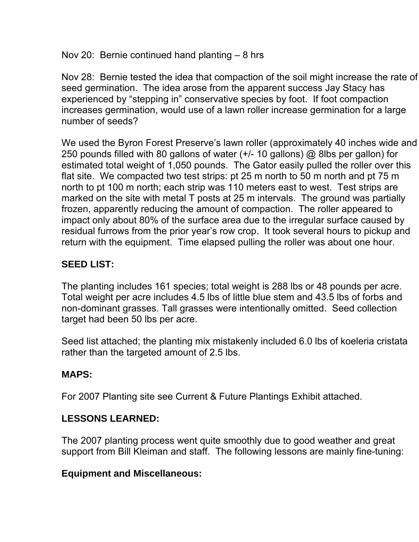Nov 20: Bernie continued hand planting – 8 hrs

Nov 28: Bernie tested the idea that compaction of the soil might increase the rate of seed germination. The idea arose from the apparent success Jay Stacy has experienced by "stepping in" conservative species by foot. If foot compaction increases germination, would use of a lawn roller increase germination for a large number of seeds?

We used the Byron Forest Preserve's lawn roller (approximately 40 inches wide and 250 pounds filled with 80 gallons of water (+/- 10 gallons) @ 8lbs per gallon) for estimated total weight of 1,050 pounds. The Gator easily pulled the roller over this flat site. We compacted two test strips: pt 25 m north to 50 m north and pt 75 m north to pt 100 m north; each strip was 110 meters east to west. Test strips are marked on the site with metal T posts at 25 m intervals. The ground was partially frozen, apparently reducing the amount of compaction. The roller appeared to impact only about 80% of the surface area due to the irregular surface caused by residual furrows from the prior year's row crop. It took several hours to pickup and return with the equipment. Time elapsed pulling the roller was about one hour.

# **SEED LIST:**

The planting includes 161 species; total weight is 288 lbs or 48 pounds per acre. Total weight per acre includes 4.5 lbs of little blue stem and 43.5 lbs of forbs and non-dominant grasses. Tall grasses were intentionally omitted. Seed collection target had been 50 lbs per acre.

Seed list attached; the planting mix mistakenly included 6.0 lbs of koeleria cristata rather than the targeted amount of 2.5 lbs.

# **MAPS:**

For 2007 Planting site see Current & Future Plantings Exhibit attached.

# **LESSONS LEARNED:**

The 2007 planting process went quite smoothly due to good weather and great support from Bill Kleiman and staff. The following lessons are mainly fine-tuning:

## **Equipment and Miscellaneous:**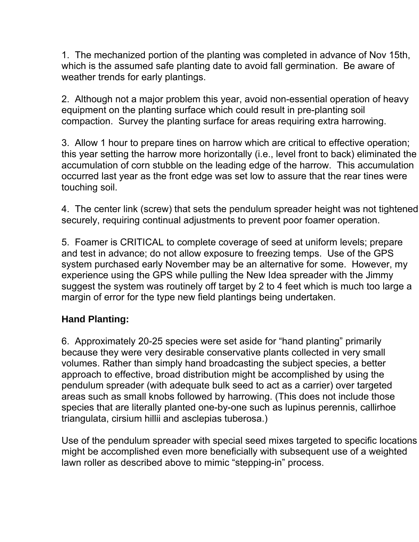1. The mechanized portion of the planting was completed in advance of Nov 15th, which is the assumed safe planting date to avoid fall germination. Be aware of weather trends for early plantings.

2. Although not a major problem this year, avoid non-essential operation of heavy equipment on the planting surface which could result in pre-planting soil compaction. Survey the planting surface for areas requiring extra harrowing.

3. Allow 1 hour to prepare tines on harrow which are critical to effective operation; this year setting the harrow more horizontally (i.e., level front to back) eliminated the accumulation of corn stubble on the leading edge of the harrow. This accumulation occurred last year as the front edge was set low to assure that the rear tines were touching soil.

4. The center link (screw) that sets the pendulum spreader height was not tightened securely, requiring continual adjustments to prevent poor foamer operation.

5. Foamer is CRITICAL to complete coverage of seed at uniform levels; prepare and test in advance; do not allow exposure to freezing temps. Use of the GPS system purchased early November may be an alternative for some. However, my experience using the GPS while pulling the New Idea spreader with the Jimmy suggest the system was routinely off target by 2 to 4 feet which is much too large a margin of error for the type new field plantings being undertaken.

## **Hand Planting:**

6. Approximately 20-25 species were set aside for "hand planting" primarily because they were very desirable conservative plants collected in very small volumes. Rather than simply hand broadcasting the subject species, a better approach to effective, broad distribution might be accomplished by using the pendulum spreader (with adequate bulk seed to act as a carrier) over targeted areas such as small knobs followed by harrowing. (This does not include those species that are literally planted one-by-one such as lupinus perennis, callirhoe triangulata, cirsium hillii and asclepias tuberosa.)

Use of the pendulum spreader with special seed mixes targeted to specific locations might be accomplished even more beneficially with subsequent use of a weighted lawn roller as described above to mimic "stepping-in" process.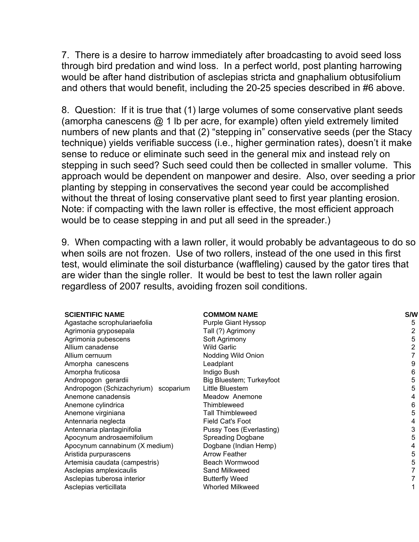7. There is a desire to harrow immediately after broadcasting to avoid seed loss through bird predation and wind loss. In a perfect world, post planting harrowing would be after hand distribution of asclepias stricta and gnaphalium obtusifolium and others that would benefit, including the 20-25 species described in #6 above.

8. Question: If it is true that (1) large volumes of some conservative plant seeds (amorpha canescens @ 1 lb per acre, for example) often yield extremely limited numbers of new plants and that (2) "stepping in" conservative seeds (per the Stacy technique) yields verifiable success (i.e., higher germination rates), doesn't it make sense to reduce or eliminate such seed in the general mix and instead rely on stepping in such seed? Such seed could then be collected in smaller volume. This approach would be dependent on manpower and desire. Also, over seeding a prior planting by stepping in conservatives the second year could be accomplished without the threat of losing conservative plant seed to first year planting erosion. Note: if compacting with the lawn roller is effective, the most efficient approach would be to cease stepping in and put all seed in the spreader.)

9. When compacting with a lawn roller, it would probably be advantageous to do so when soils are not frozen. Use of two rollers, instead of the one used in this first test, would eliminate the soil disturbance (waffleling) caused by the gator tires that are wider than the single roller. It would be best to test the lawn roller again regardless of 2007 results, avoiding frozen soil conditions.

| <b>SCIENTIFIC NAME</b>               | <b>COMMOM NAME</b>       | S/W |
|--------------------------------------|--------------------------|-----|
| Agastache scrophulariaefolia         | Purple Giant Hyssop      | 5   |
| Agrimonia gryposepala                | Tall (?) Agrimony        |     |
| Agrimonia pubescens                  | Soft Agrimony            | 5   |
| Allium canadense                     | <b>Wild Garlic</b>       |     |
| Allium cernuum                       | Nodding Wild Onion       |     |
| Amorpha canescens                    | Leadplant                | 9   |
| Amorpha fruticosa                    | Indigo Bush              | 6   |
| Andropogon gerardii                  | Big Bluestem; Turkeyfoot | 5   |
| Andropogon (Schizachyrium) scoparium | Little Bluestem          | 5   |
| Anemone canadensis                   | Meadow Anemone           |     |
| Anemone cylindrica                   | Thimbleweed              | 6   |
| Anemone virginiana                   | Tall Thimbleweed         | 5   |
| Antennaria neglecta                  | Field Cat's Foot         | 4   |
| Antennaria plantaginifolia           | Pussy Toes (Everlasting) |     |
| Apocynum androsaemifolium            | <b>Spreading Dogbane</b> | 5   |
| Apocynum cannabinum (X medium)       | Dogbane (Indian Hemp)    |     |
| Aristida purpurascens                | <b>Arrow Feather</b>     | 5   |
| Artemisia caudata (campestris)       | Beach Wormwood           | 5   |
| Asclepias amplexicaulis              | Sand Milkweed            |     |
| Asclepias tuberosa interior          | <b>Butterfly Weed</b>    |     |
| Asclepias verticillata               | <b>Whorled Milkweed</b>  |     |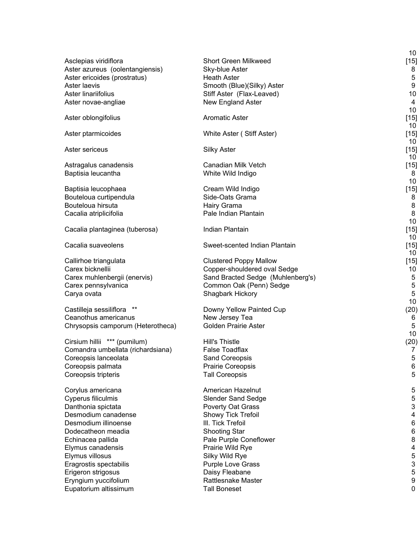|                                             |                                            | 10              |
|---------------------------------------------|--------------------------------------------|-----------------|
| Asclepias viridiflora                       | <b>Short Green Milkweed</b>                | $[15]$          |
| Aster azureus (oolentangiensis)             | Sky-blue Aster                             | 8               |
| Aster ericoides (prostratus)                | <b>Heath Aster</b>                         | 5               |
| Aster laevis                                | Smooth (Blue)(Silky) Aster                 | 9               |
| Aster linariifolius                         | Stiff Aster (Flax-Leaved)                  | 10              |
| Aster novae-angliae                         | New England Aster                          | 4               |
|                                             |                                            | 10              |
| Aster oblongifolius                         | <b>Aromatic Aster</b>                      | $[15]$<br>10    |
| Aster ptarmicoides                          | White Aster (Stiff Aster)                  | $[15]$          |
|                                             |                                            | 10              |
| Aster sericeus                              | <b>Silky Aster</b>                         | $[15]$          |
|                                             |                                            | 10 <sup>°</sup> |
| Astragalus canadensis                       | Canadian Milk Vetch                        | $[15]$          |
| Baptisia leucantha                          | White Wild Indigo                          | 8               |
|                                             |                                            | 10              |
| Baptisia leucophaea                         | Cream Wild Indigo                          | $[15]$          |
| Bouteloua curtipendula<br>Bouteloua hirsuta | Side-Oats Grama<br>Hairy Grama             | 8               |
|                                             | Pale Indian Plantain                       | 8<br>8          |
| Cacalia atriplicifolia                      |                                            | 10              |
| Cacalia plantaginea (tuberosa)              | Indian Plantain                            | $[15]$          |
|                                             |                                            | 10              |
| Cacalia suaveolens                          | Sweet-scented Indian Plantain              | $[15]$          |
|                                             |                                            | 10              |
| Callirhoe triangulata                       | <b>Clustered Poppy Mallow</b>              | $[15]$          |
| Carex bicknellii                            | Copper-shouldered oval Sedge               | 10              |
| Carex muhlenbergii (enervis)                | Sand Bracted Sedge (Muhlenberg's)          | 5               |
| Carex pennsylvanica                         | Common Oak (Penn) Sedge                    | 5               |
| Carya ovata                                 | Shagbark Hickory                           | 5               |
| Castilleja sessiliflora<br>$***$            |                                            | 10              |
| Ceanothus americanus                        | Downy Yellow Painted Cup<br>New Jersey Tea | (20)<br>6       |
| Chrysopsis camporum (Heterotheca)           | <b>Golden Prairie Aster</b>                | 5               |
|                                             |                                            | 10              |
| *** (pumilum)<br>Cirsium hillii             | <b>Hill's Thistle</b>                      | (20)            |
| Comandra umbellata (richardsiana)           | <b>False Toadflax</b>                      | 7               |
| Coreopsis lanceolata                        | Sand Coreopsis                             | 5               |
| Coreopsis palmata                           | Prairie Coreopsis                          | 6               |
| Coreopsis tripteris                         | <b>Tall Coreopsis</b>                      | 5               |
|                                             |                                            |                 |
| Corylus americana                           | American Hazelnut                          | 5               |
| Cyperus filiculmis                          | <b>Slender Sand Sedge</b>                  | 5               |
| Danthonia spictata                          | Poverty Oat Grass                          | 3               |
| Desmodium canadense                         | Showy Tick Trefoil                         | 4               |
| Desmodium illinoense                        | III. Tick Trefoil                          | 6               |
| Dodecatheon meadia                          | <b>Shooting Star</b>                       | 6               |
| Echinacea pallida<br>Elymus canadensis      | Pale Purple Coneflower<br>Prairie Wild Rye | 8<br>4          |
| Elymus villosus                             | Silky Wild Rye                             | 5               |
| Eragrostis spectabilis                      | Purple Love Grass                          | 3               |
| Erigeron strigosus                          | Daisy Fleabane                             | 5               |
| Eryngium yuccifolium                        | <b>Rattlesnake Master</b>                  | 9               |
| Eupatorium altissimum                       | <b>Tall Boneset</b>                        | 0               |
|                                             |                                            |                 |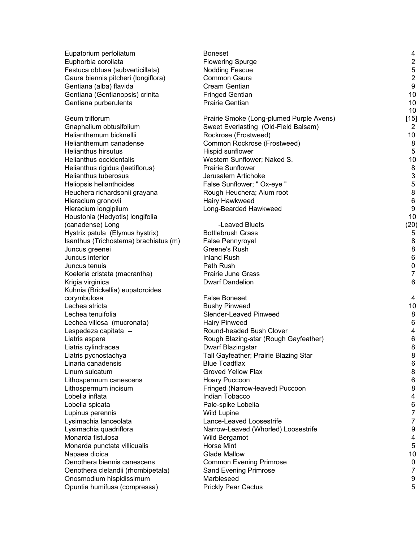| Eupatorium perfoliatum                | <b>Boneset</b>                           | 4                |
|---------------------------------------|------------------------------------------|------------------|
| Euphorbia corollata                   | <b>Flowering Spurge</b>                  | $\overline{c}$   |
| Festuca obtusa (subverticillata)      | <b>Nodding Fescue</b>                    | $\mathbf 5$      |
| Gaura biennis pitcheri (longiflora)   | Common Gaura                             | $\overline{2}$   |
| Gentiana (alba) flavida               | Cream Gentian                            | $\boldsymbol{9}$ |
| Gentiana (Gentianopsis) crinita       | <b>Fringed Gentian</b>                   | 10               |
| Gentiana purberulenta                 | Prairie Gentian                          | 10               |
|                                       |                                          | 10               |
| Geum triflorum                        | Prairie Smoke (Long-plumed Purple Avens) | $[15]$           |
| Gnaphalium obtusifolium               | Sweet Everlasting (Old-Field Balsam)     | $\overline{2}$   |
| Helianthemum bicknellii               | Rockrose (Frostweed)                     | 10               |
| Helianthemum canadense                | Common Rockrose (Frostweed)              | 8                |
| <b>Helianthus hirsutus</b>            | Hispid sunflower                         | $\sqrt{5}$       |
| Helianthus occidentalis               | Western Sunflower; Naked S.              | 10               |
| Helianthus rigidus (laetiflorus)      | <b>Prairie Sunflower</b>                 | $\bf 8$          |
| Helianthus tuberosus                  | Jerusalem Artichoke                      | $\mathsf 3$      |
| Heliopsis helianthoides               | False Sunflower; " Ox-eye "              | 5                |
| Heuchera richardsonii grayana         | Rough Heuchera; Alum root                | $\bf 8$          |
| Hieracium gronovii                    | Hairy Hawkweed                           | $\,6\,$          |
| Hieracium longipilum                  | Long-Bearded Hawkweed                    | $\boldsymbol{9}$ |
| Houstonia (Hedyotis) longifolia       |                                          | 10               |
| (canadense) Long                      | -Leaved Bluets                           | (20)             |
| Hystrix patula (Elymus hystrix)       | <b>Bottlebrush Grass</b>                 | 5                |
| Isanthus (Trichostema) brachiatus (m) | <b>False Pennyroyal</b>                  | $\,8\,$          |
| Juncus greenei                        | Greene's Rush                            | 8                |
| Juncus interior                       | <b>Inland Rush</b>                       | $\,6\,$          |
| Juncus tenuis                         | Path Rush                                | $\pmb{0}$        |
| Koeleria cristata (macrantha)         | Prairie June Grass                       | $\overline{7}$   |
| Krigia virginica                      | <b>Dwarf Dandelion</b>                   | 6                |
| Kuhnia (Brickellia) eupatoroides      |                                          |                  |
| corymbulosa                           | <b>False Boneset</b>                     | 4                |
| Lechea stricta                        | <b>Bushy Pinweed</b>                     | 10               |
| Lechea tenuifolia                     | Slender-Leaved Pinweed                   | 8                |
| Lechea villosa (mucronata)            | <b>Hairy Pinweed</b>                     | $\,6$            |
| Lespedeza capitata --                 | Round-headed Bush Clover                 | 4                |
| Liatris aspera                        | Rough Blazing-star (Rough Gayfeather)    | $\,6$            |
| Liatris cylindracea                   | Dwarf Blazingstar                        | 8                |
| Liatris pycnostachya                  | Tall Gayfeather; Prairie Blazing Star    | 8                |
| Linaria canadensis                    | <b>Blue Toadflax</b>                     | 6                |
| Linum sulcatum                        | Groved Yellow Flax                       | 8                |
| Lithospermum canescens                | Hoary Puccoon                            | 6                |
| Lithospermum incisum                  | Fringed (Narrow-leaved) Puccoon          | 8                |
| Lobelia inflata                       | Indian Tobacco                           | 4                |
| Lobelia spicata                       | Pale-spike Lobelia                       | $\,6$            |
| Lupinus perennis                      | <b>Wild Lupine</b>                       | 7                |
| Lysimachia lanceolata                 | Lance-Leaved Loosestrife                 | $\overline{7}$   |
| Lysimachia quadriflora                | Narrow-Leaved (Whorled) Loosestrife      | 9                |
| Monarda fistulosa                     | Wild Bergamot                            | 4                |
| Monarda punctata villicualis          | <b>Horse Mint</b>                        | 5                |
| Napaea dioica                         | <b>Glade Mallow</b>                      | 10               |
| Oenothera biennis canescens           | <b>Common Evening Primrose</b>           | 0                |
| Oenothera clelandii (rhombipetala)    | Sand Evening Primrose                    | 7                |
| Onosmodium hispidissimum              | Marbleseed                               | $\boldsymbol{9}$ |
| Opuntia humifusa (compressa)          | <b>Prickly Pear Cactus</b>               | 5                |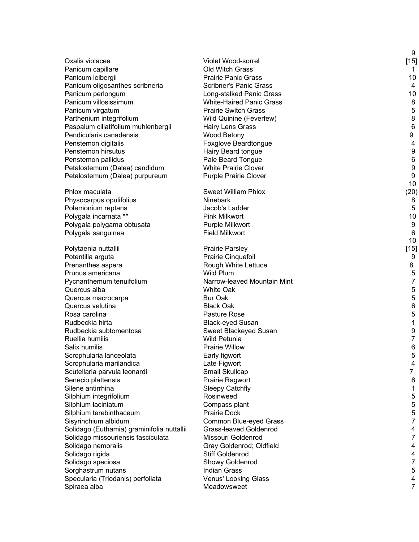|                                            |                                 | 9              |
|--------------------------------------------|---------------------------------|----------------|
| Oxalis violacea                            | Violet Wood-sorrel              | $[15]$         |
| Panicum capillare                          | <b>Old Witch Grass</b>          | 1              |
| Panicum leibergii                          | <b>Prairie Panic Grass</b>      | 10             |
| Panicum oligosanthes scribneria            | <b>Scribner's Panic Grass</b>   | 4              |
| Panicum perlongum                          | Long-stalked Panic Grass        | 10             |
| Panicum villosissimum                      | <b>White-Haired Panic Grass</b> | 8              |
| Panicum virgatum                           | <b>Prairie Switch Grass</b>     | 5              |
| Parthenium integrifolium                   | Wild Quinine (Feverfew)         | 8              |
| Paspalum ciliatifolium muhlenbergii        | Hairy Lens Grass                | 6              |
| Pendicularis canadensis                    | Wood Betony                     | 9              |
| Penstemon digitalis                        | Foxglove Beardtongue            | 4              |
| Penstemon hirsutus                         | Hairy Beard tongue              | 9              |
| Penstemon pallidus                         | Pale Beard Tongue               | 6              |
| Petalostemum (Dalea) candidum              | <b>White Prairie Clover</b>     | 9              |
| Petalostemum (Dalea) purpureum             | <b>Purple Prairie Clover</b>    | 9              |
|                                            |                                 | 10             |
| Phlox maculata                             | <b>Sweet William Phlox</b>      | (20)           |
| Physocarpus opulifolius                    | <b>Ninebark</b>                 | 8              |
| Polemonium reptans                         | Jacob's Ladder                  | 5              |
| Polygala incarnata **                      | <b>Pink Milkwort</b>            | 10             |
| Polygala polygama obtusata                 | Purple Milkwort                 | 9              |
| Polygala sanguinea                         | <b>Field Milkwort</b>           | 6              |
| Polytaenia nuttallii                       | <b>Prairie Parsley</b>          | 10<br>$[15]$   |
| Potentilla arguta                          | Prairie Cinquefoil              | 9              |
| Prenanthes aspera                          | Rough White Lettuce             | 8              |
| Prunus americana                           | Wild Plum                       | 5              |
| Pycnanthemum tenuifolium                   | Narrow-leaved Mountain Mint     | $\overline{7}$ |
| Quercus alba                               | White Oak                       | 5              |
| Quercus macrocarpa                         | <b>Bur Oak</b>                  | 5              |
| Quercus velutina                           | <b>Black Oak</b>                | 6              |
| Rosa carolina                              | Pasture Rose                    | 5              |
| Rudbeckia hirta                            | <b>Black-eyed Susan</b>         | 1              |
| Rudbeckia subtomentosa                     | Sweet Blackeyed Susan           | 9              |
| Ruellia humilis                            | <b>Wild Petunia</b>             | $\overline{7}$ |
| Salix humilis                              | <b>Prairie Willow</b>           | 6              |
| Scrophularia lanceolata                    | Early figwort                   | 5              |
| Scrophularia marilandica                   | Late Figwort                    | 4              |
| Scutellaria parvula leonardi               | Small Skullcap                  | 7              |
| Senecio plattensis                         | Prairie Ragwort                 | 6              |
| Silene antirrhina                          | <b>Sleepy Catchfly</b>          | 1              |
| Silphium integrifolium                     | Rosinweed                       | 5              |
| Silphium laciniatum                        | Compass plant                   | 5              |
| Silphium terebinthaceum                    | <b>Prairie Dock</b>             | 5              |
| Sisyrinchium albidum                       | Common Blue-eyed Grass          | 7              |
| Solidago (Euthamia) graminifolia nuttallii | Grass-leaved Goldenrod          | 4              |
| Solidago missouriensis fasciculata         | Missouri Goldenrod              | $\overline{7}$ |
| Solidago nemoralis                         | Gray Goldenrod; Oldfield        | 4              |
| Solidago rigida                            | <b>Stiff Goldenrod</b>          | 4              |
| Solidago speciosa                          | Showy Goldenrod                 | 7              |
| Sorghastrum nutans                         | <b>Indian Grass</b>             | 5              |
| Specularia (Triodanis) perfoliata          | Venus' Looking Glass            | 4              |
| Spiraea alba                               | Meadowsweet                     | 7              |
|                                            |                                 |                |